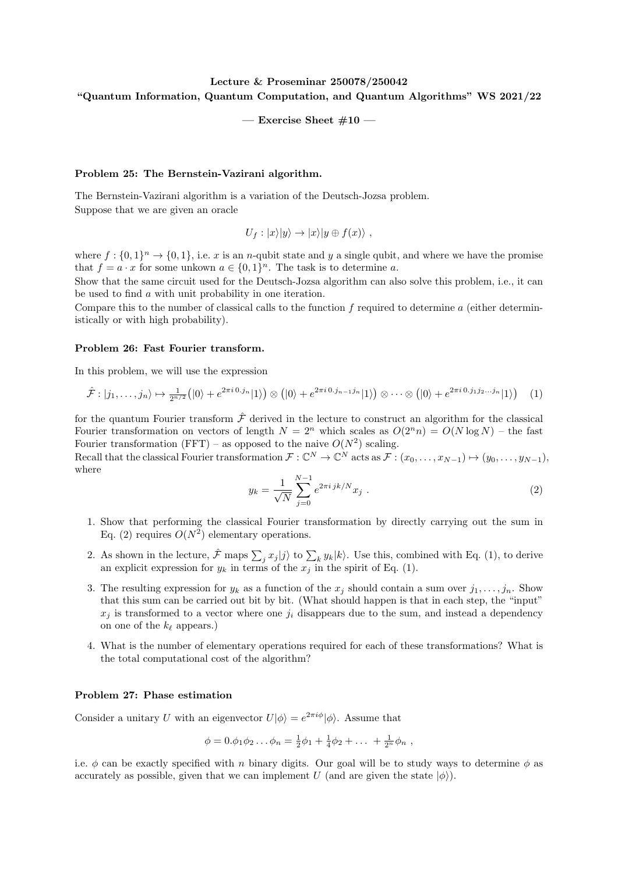## Lecture & Proseminar 250078/250042 "Quantum Information, Quantum Computation, and Quantum Algorithms" WS 2021/22

— Exercise Sheet  $\#10$  —

## Problem 25: The Bernstein-Vazirani algorithm.

The Bernstein-Vazirani algorithm is a variation of the Deutsch-Jozsa problem. Suppose that we are given an oracle

$$
U_f: |x\rangle|y\rangle \rightarrow |x\rangle|y \oplus f(x)\rangle ,
$$

where  $f: \{0,1\}^n \to \{0,1\}$ , i.e. x is an n-qubit state and y a single qubit, and where we have the promise that  $f = a \cdot x$  for some unkown  $a \in \{0,1\}^n$ . The task is to determine a.

Show that the same circuit used for the Deutsch-Jozsa algorithm can also solve this problem, i.e., it can be used to find a with unit probability in one iteration.

Compare this to the number of classical calls to the function  $f$  required to determine  $a$  (either deterministically or with high probability).

## Problem 26: Fast Fourier transform.

In this problem, we will use the expression

$$
\hat{\mathcal{F}} : |j_1,\ldots,j_n\rangle \mapsto \frac{1}{2^{n/2}}\big(|0\rangle + e^{2\pi i \cdot 0 \cdot j_n} |1\rangle\big) \otimes \big(|0\rangle + e^{2\pi i \cdot 0 \cdot j_{n-1} j_n} |1\rangle\big) \otimes \cdots \otimes \big(|0\rangle + e^{2\pi i \cdot 0 \cdot j_1 j_2 \ldots j_n} |1\rangle\big) \tag{1}
$$

for the quantum Fourier transform  $\hat{\mathcal{F}}$  derived in the lecture to construct an algorithm for the classical Fourier transformation on vectors of length  $N = 2^n$  which scales as  $O(2^n n) = O(N \log N)$  – the fast Fourier transformation (FFT) – as opposed to the naive  $O(N^2)$  scaling.

Recall that the classical Fourier transformation  $\mathcal{F}: \mathbb{C}^N \to \mathbb{C}^N$  acts as  $\mathcal{F}: (x_0, \ldots, x_{N-1}) \mapsto (y_0, \ldots, y_{N-1}),$ where

$$
y_k = \frac{1}{\sqrt{N}} \sum_{j=0}^{N-1} e^{2\pi i jk/N} x_j .
$$
 (2)

- 1. Show that performing the classical Fourier transformation by directly carrying out the sum in Eq. (2) requires  $O(N^2)$  elementary operations.
- 2. As shown in the lecture,  $\hat{\mathcal{F}}$  maps  $\sum_j x_j |j\rangle$  to  $\sum_k y_k |k\rangle$ . Use this, combined with Eq. (1), to derive an explicit expression for  $y_k$  in terms of the  $x_j$  in the spirit of Eq. (1).
- 3. The resulting expression for  $y_k$  as a function of the  $x_j$  should contain a sum over  $j_1, \ldots, j_n$ . Show that this sum can be carried out bit by bit. (What should happen is that in each step, the "input"  $x_j$  is transformed to a vector where one  $j_i$  disappears due to the sum, and instead a dependency on one of the  $k_{\ell}$  appears.)
- 4. What is the number of elementary operations required for each of these transformations? What is the total computational cost of the algorithm?

## Problem 27: Phase estimation

Consider a unitary U with an eigenvector  $U|\phi\rangle = e^{2\pi i\phi}|\phi\rangle$ . Assume that

$$
\phi = 0.\phi_1\phi_2\ldots\phi_n = \frac{1}{2}\phi_1 + \frac{1}{4}\phi_2 + \ldots + \frac{1}{2^n}\phi_n,
$$

i.e.  $\phi$  can be exactly specified with n binary digits. Our goal will be to study ways to determine  $\phi$  as accurately as possible, given that we can implement U (and are given the state  $|\phi\rangle$ ).